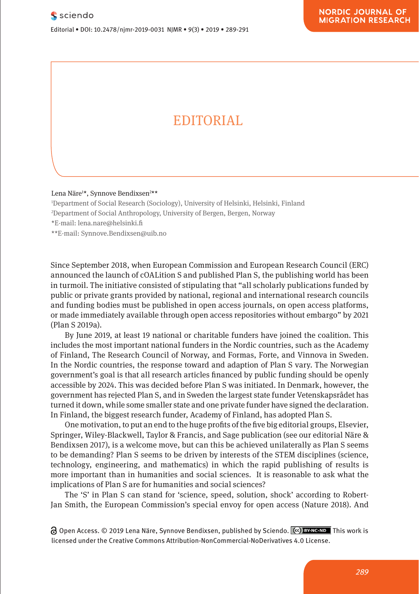## EDITORIAL

Lena Näre<sup>1</sup>\*, Synnove Bendixsen<sup>2\*\*</sup>

1 Department of Social Research (Sociology), University of Helsinki, Helsinki, Finland

2 Department of Social Anthropology, University of Bergen, Bergen, Norway

\*E-mail: lena.nare@helsinki.fi

\*\*E-mail: Synnove.Bendixsen@uib.no

Since September 2018, when European Commission and European Research Council (ERC) announced the launch of cOALition S and published Plan S, the publishing world has been in turmoil. The initiative consisted of stipulating that "all scholarly publications funded by public or private grants provided by national, regional and international research councils and funding bodies must be published in open access journals, on open access platforms, or made immediately available through open access repositories without embargo" by 2021 (Plan S 2019a).

By June 2019, at least 19 national or charitable funders have joined the coalition. This includes the most important national funders in the Nordic countries, such as the Academy of Finland, The Research Council of Norway, and Formas, Forte, and Vinnova in Sweden. In the Nordic countries, the response toward and adaption of Plan S vary. The Norwegian government's goal is that all research articles financed by public funding should be openly accessible by 2024. This was decided before Plan S was initiated. In Denmark, however, the government has rejected Plan S, and in Sweden the largest state funder Vetenskapsrådet has turned it down, while some smaller state and one private funder have signed the declaration. In Finland, the biggest research funder, Academy of Finland, has adopted Plan S.

One motivation, to put an end to the huge profits of the five big editorial groups, Elsevier, Springer, Wiley-Blackwell, Taylor & Francis, and Sage publication (see our editorial Näre & Bendixsen 2017), is a welcome move, but can this be achieved unilaterally as Plan S seems to be demanding? Plan S seems to be driven by interests of the STEM disciplines (science, technology, engineering, and mathematics) in which the rapid publishing of results is more important than in humanities and social sciences. It is reasonable to ask what the implications of Plan S are for humanities and social sciences?

The 'S' in Plan S can stand for 'science, speed, solution, shock' according to Robert-Jan Smith, the European Commission's special envoy for open access (Nature 2018). And

**a** Open Access. © 2019 Lena Näre, Synnove Bendixsen, published by Sciendo. ( $\alpha$ ) BYNC-ND This work is licensed under the Creative Commons Attribution-NonCommercial-NoDerivatives 4.0 License.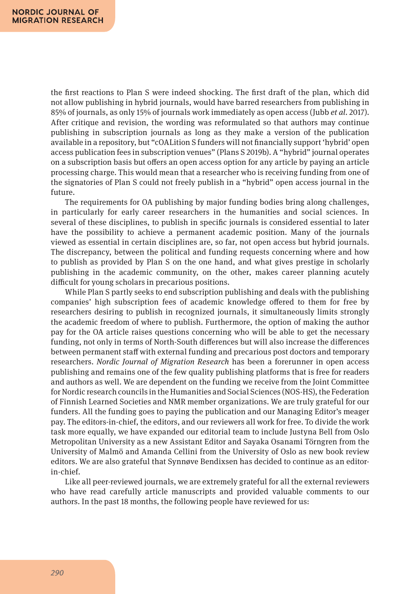the first reactions to Plan S were indeed shocking. The first draft of the plan, which did not allow publishing in hybrid journals, would have barred researchers from publishing in 85% of journals, as only 15% of journals work immediately as open access (Jubb *et al*. 2017). After critique and revision, the wording was reformulated so that authors may continue publishing in subscription journals as long as they make a version of the publication available in a repository, but "cOALition S funders will not financially support 'hybrid' open access publication fees in subscription venues" (Plans S 2019b). A "hybrid" journal operates on a subscription basis but offers an open access option for any article by paying an article processing charge. This would mean that a researcher who is receiving funding from one of the signatories of Plan S could not freely publish in a "hybrid" open access journal in the future.

The requirements for OA publishing by major funding bodies bring along challenges, in particularly for early career researchers in the humanities and social sciences. In several of these disciplines, to publish in specific journals is considered essential to later have the possibility to achieve a permanent academic position. Many of the journals viewed as essential in certain disciplines are, so far, not open access but hybrid journals. The discrepancy, between the political and funding requests concerning where and how to publish as provided by Plan S on the one hand, and what gives prestige in scholarly publishing in the academic community, on the other, makes career planning acutely difficult for young scholars in precarious positions.

While Plan S partly seeks to end subscription publishing and deals with the publishing companies' high subscription fees of academic knowledge offered to them for free by researchers desiring to publish in recognized journals, it simultaneously limits strongly the academic freedom of where to publish. Furthermore, the option of making the author pay for the OA article raises questions concerning who will be able to get the necessary funding, not only in terms of North-South differences but will also increase the differences between permanent staff with external funding and precarious post doctors and temporary researchers. *Nordic Journal of Migration Research* has been a forerunner in open access publishing and remains one of the few quality publishing platforms that is free for readers and authors as well. We are dependent on the funding we receive from the Joint Committee for Nordic research councils in the Humanities and Social Sciences (NOS-HS), the Federation of Finnish Learned Societies and NMR member organizations. We are truly grateful for our funders. All the funding goes to paying the publication and our Managing Editor's meager pay. The editors-in-chief, the editors, and our reviewers all work for free. To divide the work task more equally, we have expanded our editorial team to include Justyna Bell from Oslo Metropolitan University as a new Assistant Editor and Sayaka Osanami Törngren from the University of Malmö and Amanda Cellini from the University of Oslo as new book review editors. We are also grateful that Synnøve Bendixsen has decided to continue as an editorin-chief.

Like all peer-reviewed journals, we are extremely grateful for all the external reviewers who have read carefully article manuscripts and provided valuable comments to our authors. In the past 18 months, the following people have reviewed for us: